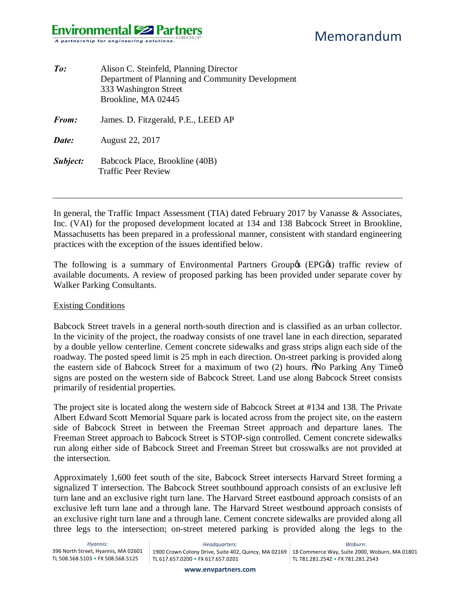## **Environmental Solution** A partnership for engineering solutions.

| Alison C. Steinfeld, Planning Director<br>Department of Planning and Community Development<br>333 Washington Street<br>Brookline, MA 02445 |
|--------------------------------------------------------------------------------------------------------------------------------------------|
| James. D. Fitzgerald, P.E., LEED AP                                                                                                        |
| August 22, 2017                                                                                                                            |
| Babcock Place, Brookline (40B)<br><b>Traffic Peer Review</b>                                                                               |
|                                                                                                                                            |

In general, the Traffic Impact Assessment (TIA) dated February 2017 by Vanasse & Associates, Inc. (VAI) for the proposed development located at 134 and 138 Babcock Street in Brookline, Massachusetts has been prepared in a professional manner, consistent with standard engineering practices with the exception of the issues identified below.

The following is a summary of Environmental Partners Group $\&$  (EPG $\&$ ) traffic review of available documents. A review of proposed parking has been provided under separate cover by Walker Parking Consultants.

#### Existing Conditions

Babcock Street travels in a general north-south direction and is classified as an urban collector. In the vicinity of the project, the roadway consists of one travel lane in each direction, separated by a double yellow centerline. Cement concrete sidewalks and grass strips align each side of the roadway. The posted speed limit is 25 mph in each direction. On-street parking is provided along the eastern side of Babcock Street for a maximum of two (2) hours. No Parking Any Timeo signs are posted on the western side of Babcock Street. Land use along Babcock Street consists primarily of residential properties.

The project site is located along the western side of Babcock Street at #134 and 138. The Private Albert Edward Scott Memorial Square park is located across from the project site, on the eastern side of Babcock Street in between the Freeman Street approach and departure lanes. The Freeman Street approach to Babcock Street is STOP-sign controlled. Cement concrete sidewalks run along either side of Babcock Street and Freeman Street but crosswalks are not provided at the intersection.

Approximately 1,600 feet south of the site, Babcock Street intersects Harvard Street forming a signalized T intersection. The Babcock Street southbound approach consists of an exclusive left turn lane and an exclusive right turn lane. The Harvard Street eastbound approach consists of an exclusive left turn lane and a through lane. The Harvard Street westbound approach consists of an exclusive right turn lane and a through lane. Cement concrete sidewalks are provided along all three legs to the intersection; on-street metered parking is provided along the legs to the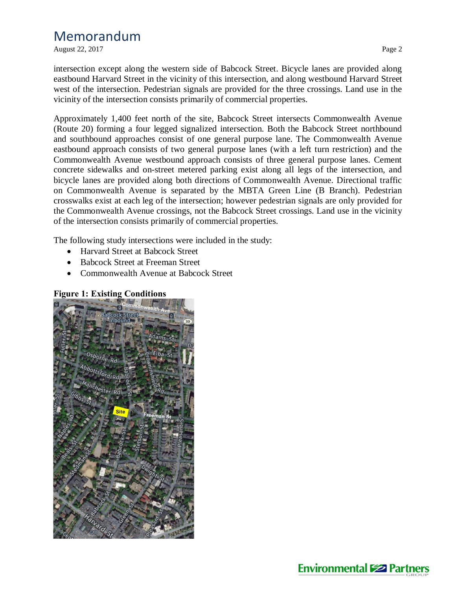August 22, 2017 Page 2

intersection except along the western side of Babcock Street. Bicycle lanes are provided along eastbound Harvard Street in the vicinity of this intersection, and along westbound Harvard Street west of the intersection. Pedestrian signals are provided for the three crossings. Land use in the vicinity of the intersection consists primarily of commercial properties.

Approximately 1,400 feet north of the site, Babcock Street intersects Commonwealth Avenue (Route 20) forming a four legged signalized intersection. Both the Babcock Street northbound and southbound approaches consist of one general purpose lane. The Commonwealth Avenue eastbound approach consists of two general purpose lanes (with a left turn restriction) and the Commonwealth Avenue westbound approach consists of three general purpose lanes. Cement concrete sidewalks and on-street metered parking exist along all legs of the intersection, and bicycle lanes are provided along both directions of Commonwealth Avenue. Directional traffic on Commonwealth Avenue is separated by the MBTA Green Line (B Branch). Pedestrian crosswalks exist at each leg of the intersection; however pedestrian signals are only provided for the Commonwealth Avenue crossings, not the Babcock Street crossings. Land use in the vicinity of the intersection consists primarily of commercial properties.

The following study intersections were included in the study:

- Harvard Street at Babcock Street
- · Babcock Street at Freeman Street
- · Commonwealth Avenue at Babcock Street

## **Figure 1: Existing Conditions**



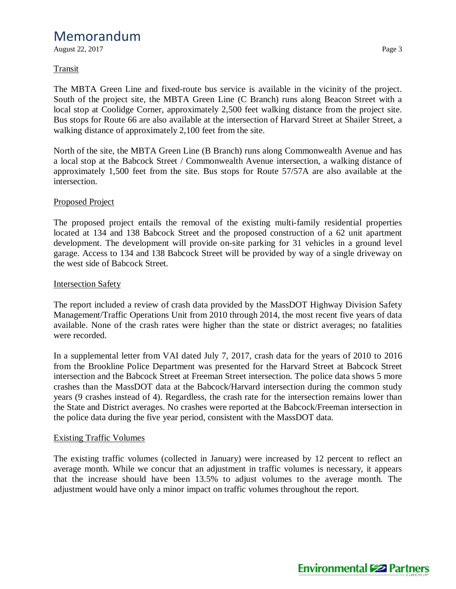August 22, 2017 Page 3

## Transit

The MBTA Green Line and fixed-route bus service is available in the vicinity of the project. South of the project site, the MBTA Green Line (C Branch) runs along Beacon Street with a local stop at Coolidge Corner, approximately 2,500 feet walking distance from the project site. Bus stops for Route 66 are also available at the intersection of Harvard Street at Shailer Street, a walking distance of approximately 2,100 feet from the site.

North of the site, the MBTA Green Line (B Branch) runs along Commonwealth Avenue and has a local stop at the Babcock Street / Commonwealth Avenue intersection, a walking distance of approximately 1,500 feet from the site. Bus stops for Route 57/57A are also available at the intersection.

## Proposed Project

The proposed project entails the removal of the existing multi-family residential properties located at 134 and 138 Babcock Street and the proposed construction of a 62 unit apartment development. The development will provide on-site parking for 31 vehicles in a ground level garage. Access to 134 and 138 Babcock Street will be provided by way of a single driveway on the west side of Babcock Street.

### Intersection Safety

The report included a review of crash data provided by the MassDOT Highway Division Safety Management/Traffic Operations Unit from 2010 through 2014, the most recent five years of data available. None of the crash rates were higher than the state or district averages; no fatalities were recorded.

In a supplemental letter from VAI dated July 7, 2017, crash data for the years of 2010 to 2016 from the Brookline Police Department was presented for the Harvard Street at Babcock Street intersection and the Babcock Street at Freeman Street intersection. The police data shows 5 more crashes than the MassDOT data at the Babcock/Harvard intersection during the common study years (9 crashes instead of 4). Regardless, the crash rate for the intersection remains lower than the State and District averages. No crashes were reported at the Babcock/Freeman intersection in the police data during the five year period, consistent with the MassDOT data.

### Existing Traffic Volumes

The existing traffic volumes (collected in January) were increased by 12 percent to reflect an average month. While we concur that an adjustment in traffic volumes is necessary, it appears that the increase should have been 13.5% to adjust volumes to the average month. The adjustment would have only a minor impact on traffic volumes throughout the report.

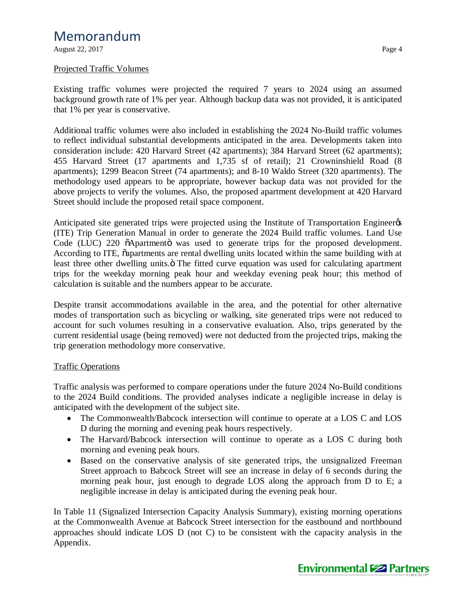August 22, 2017 Page 4

### Projected Traffic Volumes

Existing traffic volumes were projected the required 7 years to 2024 using an assumed background growth rate of 1% per year. Although backup data was not provided, it is anticipated that 1% per year is conservative.

Additional traffic volumes were also included in establishing the 2024 No-Build traffic volumes to reflect individual substantial developments anticipated in the area. Developments taken into consideration include: 420 Harvard Street (42 apartments); 384 Harvard Street (62 apartments); 455 Harvard Street (17 apartments and 1,735 sf of retail); 21 Crowninshield Road (8 apartments); 1299 Beacon Street (74 apartments); and 8-10 Waldo Street (320 apartments). The methodology used appears to be appropriate, however backup data was not provided for the above projects to verify the volumes. Also, the proposed apartment development at 420 Harvard Street should include the proposed retail space component.

Anticipated site generated trips were projected using the Institute of Transportation Engineer  $\alpha$ (ITE) Trip Generation Manual in order to generate the 2024 Build traffic volumes. Land Use Code (LUC) 220  $\tilde{o}$ Apartmento was used to generate trips for the proposed development. According to ITE,  $\tilde{o}$  apartments are rental dwelling units located within the same building with at least three other dwelling units.<sup>"</sup> The fitted curve equation was used for calculating apartment trips for the weekday morning peak hour and weekday evening peak hour; this method of calculation is suitable and the numbers appear to be accurate.

Despite transit accommodations available in the area, and the potential for other alternative modes of transportation such as bicycling or walking, site generated trips were not reduced to account for such volumes resulting in a conservative evaluation. Also, trips generated by the current residential usage (being removed) were not deducted from the projected trips, making the trip generation methodology more conservative.

## Traffic Operations

Traffic analysis was performed to compare operations under the future 2024 No-Build conditions to the 2024 Build conditions. The provided analyses indicate a negligible increase in delay is anticipated with the development of the subject site.

- The Commonwealth/Babcock intersection will continue to operate at a LOS C and LOS D during the morning and evening peak hours respectively.
- The Harvard/Babcock intersection will continue to operate as a LOS C during both morning and evening peak hours.
- · Based on the conservative analysis of site generated trips, the unsignalized Freeman Street approach to Babcock Street will see an increase in delay of 6 seconds during the morning peak hour, just enough to degrade LOS along the approach from D to E; a negligible increase in delay is anticipated during the evening peak hour.

In Table 11 (Signalized Intersection Capacity Analysis Summary), existing morning operations at the Commonwealth Avenue at Babcock Street intersection for the eastbound and northbound approaches should indicate LOS D (not C) to be consistent with the capacity analysis in the Appendix.

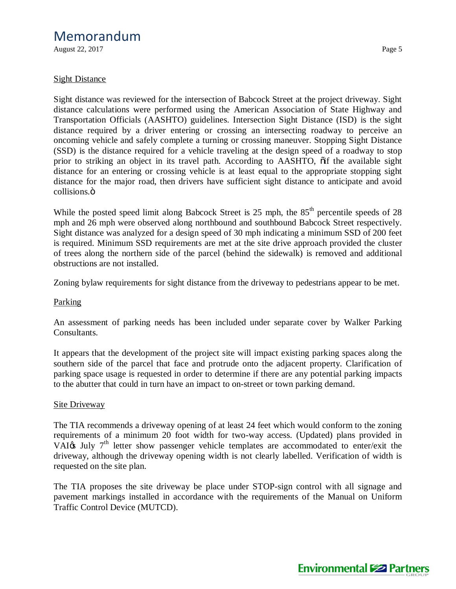August 22, 2017 Page 5

### Sight Distance

Sight distance was reviewed for the intersection of Babcock Street at the project driveway. Sight distance calculations were performed using the American Association of State Highway and Transportation Officials (AASHTO) guidelines. Intersection Sight Distance (ISD) is the sight distance required by a driver entering or crossing an intersecting roadway to perceive an oncoming vehicle and safely complete a turning or crossing maneuver. Stopping Sight Distance (SSD) is the distance required for a vehicle traveling at the design speed of a roadway to stop prior to striking an object in its travel path. According to AASHTO,  $\ddot{\text{o}}$  if the available sight distance for an entering or crossing vehicle is at least equal to the appropriate stopping sight distance for the major road, then drivers have sufficient sight distance to anticipate and avoid collisions.<sub>Ö</sub>

While the posted speed limit along Babcock Street is  $25 \text{ mph}$ , the  $85^{\text{th}}$  percentile speeds of  $28$ mph and 26 mph were observed along northbound and southbound Babcock Street respectively. Sight distance was analyzed for a design speed of 30 mph indicating a minimum SSD of 200 feet is required. Minimum SSD requirements are met at the site drive approach provided the cluster of trees along the northern side of the parcel (behind the sidewalk) is removed and additional obstructions are not installed.

Zoning bylaw requirements for sight distance from the driveway to pedestrians appear to be met.

### **Parking**

An assessment of parking needs has been included under separate cover by Walker Parking Consultants.

It appears that the development of the project site will impact existing parking spaces along the southern side of the parcel that face and protrude onto the adjacent property. Clarification of parking space usage is requested in order to determine if there are any potential parking impacts to the abutter that could in turn have an impact to on-street or town parking demand.

### **Site Driveway**

The TIA recommends a driveway opening of at least 24 feet which would conform to the zoning requirements of a minimum 20 foot width for two-way access. (Updated) plans provided in VAI $\alpha$  July 7<sup>th</sup> letter show passenger vehicle templates are accommodated to enter/exit the driveway, although the driveway opening width is not clearly labelled. Verification of width is requested on the site plan.

The TIA proposes the site driveway be place under STOP-sign control with all signage and pavement markings installed in accordance with the requirements of the Manual on Uniform Traffic Control Device (MUTCD).

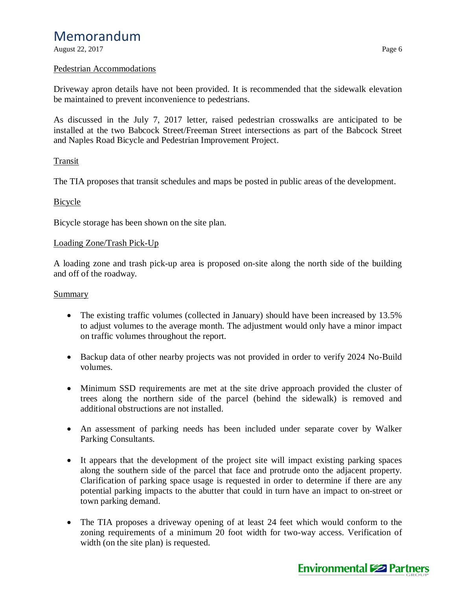August 22, 2017 Page 6

#### Pedestrian Accommodations

Driveway apron details have not been provided. It is recommended that the sidewalk elevation be maintained to prevent inconvenience to pedestrians.

As discussed in the July 7, 2017 letter, raised pedestrian crosswalks are anticipated to be installed at the two Babcock Street/Freeman Street intersections as part of the Babcock Street and Naples Road Bicycle and Pedestrian Improvement Project.

### Transit

The TIA proposes that transit schedules and maps be posted in public areas of the development.

#### Bicycle

Bicycle storage has been shown on the site plan.

#### Loading Zone/Trash Pick-Up

A loading zone and trash pick-up area is proposed on-site along the north side of the building and off of the roadway.

#### **Summary**

- The existing traffic volumes (collected in January) should have been increased by 13.5% to adjust volumes to the average month. The adjustment would only have a minor impact on traffic volumes throughout the report.
- Backup data of other nearby projects was not provided in order to verify 2024 No-Build volumes.
- Minimum SSD requirements are met at the site drive approach provided the cluster of trees along the northern side of the parcel (behind the sidewalk) is removed and additional obstructions are not installed.
- · An assessment of parking needs has been included under separate cover by Walker Parking Consultants.
- · It appears that the development of the project site will impact existing parking spaces along the southern side of the parcel that face and protrude onto the adjacent property. Clarification of parking space usage is requested in order to determine if there are any potential parking impacts to the abutter that could in turn have an impact to on-street or town parking demand.
- The TIA proposes a driveway opening of at least 24 feet which would conform to the zoning requirements of a minimum 20 foot width for two-way access. Verification of width (on the site plan) is requested.